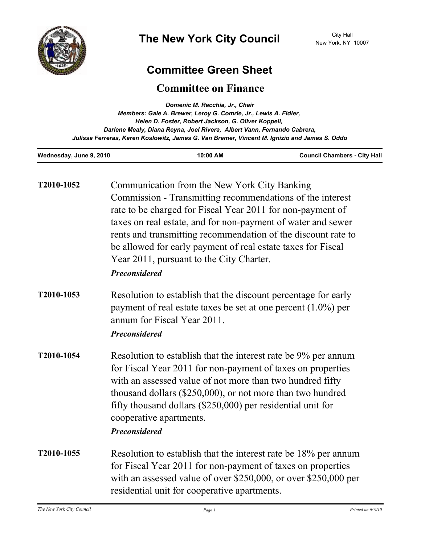

# **Committee Green Sheet**

## **Committee on Finance**

| Domenic M. Recchia, Jr., Chair                                                               |  |
|----------------------------------------------------------------------------------------------|--|
| Members: Gale A. Brewer, Leroy G. Comrie, Jr., Lewis A. Fidler,                              |  |
| Helen D. Foster, Robert Jackson, G. Oliver Koppell,                                          |  |
| Darlene Mealy, Diana Reyna, Joel Rivera, Albert Vann, Fernando Cabrera,                      |  |
| Julissa Ferreras, Karen Koslowitz, James G. Van Bramer, Vincent M. Ignizio and James S. Oddo |  |
|                                                                                              |  |

| Wednesday, June 9, 2010 | 10:00 AM | <b>Council Chambers - City Hall</b> |
|-------------------------|----------|-------------------------------------|
|                         |          |                                     |

| T2010-1052 | Communication from the New York City Banking<br>Commission - Transmitting recommendations of the interest<br>rate to be charged for Fiscal Year 2011 for non-payment of<br>taxes on real estate, and for non-payment of water and sewer<br>rents and transmitting recommendation of the discount rate to<br>be allowed for early payment of real estate taxes for Fiscal<br>Year 2011, pursuant to the City Charter.<br><b>Preconsidered</b> |
|------------|----------------------------------------------------------------------------------------------------------------------------------------------------------------------------------------------------------------------------------------------------------------------------------------------------------------------------------------------------------------------------------------------------------------------------------------------|
| T2010-1053 | Resolution to establish that the discount percentage for early<br>payment of real estate taxes be set at one percent $(1.0\%)$ per<br>annum for Fiscal Year 2011.<br><b>Preconsidered</b>                                                                                                                                                                                                                                                    |
| T2010-1054 | Resolution to establish that the interest rate be 9% per annum<br>for Fiscal Year 2011 for non-payment of taxes on properties<br>with an assessed value of not more than two hundred fifty<br>thousand dollars (\$250,000), or not more than two hundred<br>fifty thousand dollars (\$250,000) per residential unit for<br>cooperative apartments.<br><b>Preconsidered</b>                                                                   |
| T2010-1055 | Resolution to establish that the interest rate be 18% per annum<br>for Fiscal Year 2011 for non-payment of taxes on properties<br>with an assessed value of over \$250,000, or over \$250,000 per<br>residential unit for cooperative apartments.                                                                                                                                                                                            |